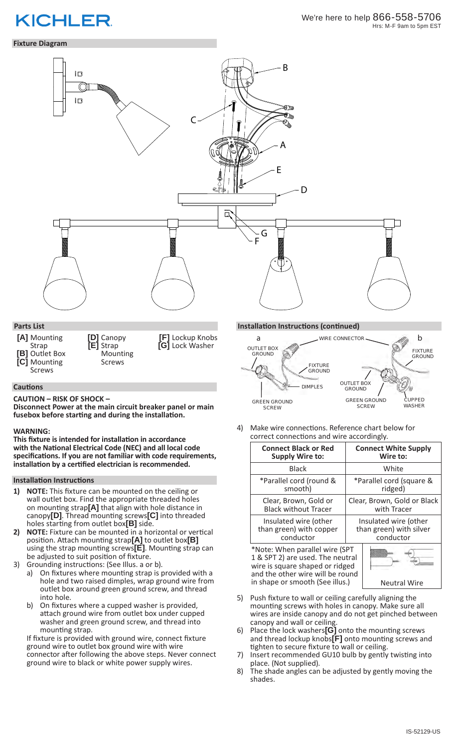# **KICHLER**

# We're here to help 866-558-5706 Hrs: M-F 9am to 5pm EST

**Fixture Diagram**

# B 旧  $\circledcirc$  $\overline{\mathbb{R}}$ θ≧ C A E D ä G F $\bigtriangledown$ **Parts List Installation Instructions (continued) [A]** Mounting **[D]** Canopy **[F]** Lockup Knobs a wire connector b Strap **[E]** Strap **[G]** Lock Washer OUTLET BOX **[B]** Outlet Box Mounting GROUND **[C]** Mounting Screws FIXTURE Screws

#### **Cautions**

**CAUTION – RISK OF SHOCK –** 

**Disconnect Power at the main circuit breaker panel or main fusebox before starting and during the installation.** 

#### **WARNING:**

**This fixture is intended for installation in accordance with the National Electrical Code (NEC) and all local code specifications. If you are not familiar with code requirements, installation by a certified electrician is recommended.**

#### **Installation Instructions**

- **1) NOTE:** This fixture can be mounted on the ceiling or wall outlet box. Find the appropriate threaded holes on mounting strap**[A]** that align with hole distance in canopy**[D]**. Thread mounting screws**[C]** into threaded holes starting from outlet box**[B]** side.
- **2) NOTE:** Fixture can be mounted in a horizontal or vertical position. Attach mounting strap**[A]** to outlet box**[B]** using the strap mounting screws**[E]**. Mounting strap can be adjusted to suit position of fixture.
- 3) Grounding instructions: (See Illus. a or b). a) On fixtures where mounting strap is provided with a hole and two raised dimples, wrap ground wire from outlet box around green ground screw, and thread into hole.
	- b) On fixtures where a cupped washer is provided, attach ground wire from outlet box under cupped washer and green ground screw, and thread into mounting strap.

If fixture is provided with ground wire, connect fixture ground wire to outlet box ground wire with wire connector after following the above steps. Never connect ground wire to black or white power supply wires.



4) Make wire connections. Reference chart below for correct connections and wire accordingly.

| <b>Connect Black or Red</b>                                                                                                                                                  | <b>Connect White Supply</b> |
|------------------------------------------------------------------------------------------------------------------------------------------------------------------------------|-----------------------------|
| <b>Supply Wire to:</b>                                                                                                                                                       | Wire to:                    |
| <b>Black</b>                                                                                                                                                                 | White                       |
| *Parallel cord (round &                                                                                                                                                      | *Parallel cord (square &    |
| smooth)                                                                                                                                                                      | ridged)                     |
| Clear, Brown, Gold or                                                                                                                                                        | Clear, Brown, Gold or Black |
| <b>Black without Tracer</b>                                                                                                                                                  | with Tracer                 |
| Insulated wire (other                                                                                                                                                        | Insulated wire (other       |
| than green) with copper                                                                                                                                                      | than green) with silver     |
| conductor                                                                                                                                                                    | conductor                   |
| *Note: When parallel wire (SPT<br>1 & SPT 2) are used. The neutral<br>wire is square shaped or ridged<br>and the other wire will be round<br>in shape or smooth (See illus.) | <b>Neutral Wire</b>         |

- 5) Push fixture to wall or ceiling carefully aligning the mounting screws with holes in canopy. Make sure all wires are inside canopy and do not get pinched between canopy and wall or ceiling.
- 6) Place the lock washers**[G]** onto the mounting screws and thread lockup knobs**[F]** onto mounting screws and tighten to secure fixture to wall or ceiling.
- 7) Insert recommended GU10 bulb by gently twisting into place. (Not supplied).
- 8) The shade angles can be adjusted by gently moving the shades.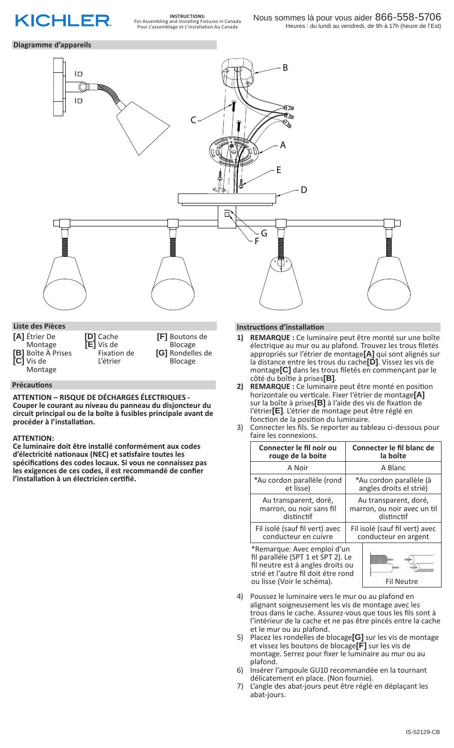

**INSTRUCTIONS:** For Assembling and Installing Fixtures in Canada Pour L'assemblage et L'installation Au Canada

## **Diagramme d'appareils**



**[A]** Étrier De Montage **[B]** Boîte À Prises **[C]** Vis de Montage **[D]** Cache **[E]** Vis de Fixation de L'étrier **[F]** Boutons de Blocage **[G]** Rondelles de Blocage

### **Précautions**

**ATTENTION – RISQUE DE DÉCHARGES ÉLECTRIQUES - Couper le courant au niveau du panneau du disjoncteur du circuit principal ou de la boîte à fusibles principale avant de procéder à l'installation.**

#### **ATTENTION:**

**Ce luminaire doit être installé conformément aux codes d'électricité nationaux (NEC) et satisfaire toutes les spécifications des codes locaux. Si vous ne connaissez pas les exigences de ces codes, il est recommandé de confier l'installation à un électricien certifié.**

## **Instructions d'installation**

- **1) REMARQUE :** Ce luminaire peut être monté sur une boîte électrique au mur ou au plafond. Trouvez les trous filetés appropriés sur l'étrier de montage**[A]** qui sont alignés sur la distance entre les trous du cache**[D]**. Vissez les vis de montage**[C]** dans les trous filetés en commençant par le côté du boîtie à prises**[B]**.
- **2) REMARQUE :** Ce luminaire peut être monté en position horizontale ou verticale. Fixer l'étrier de montage**[A]** sur la boîte à prises**[B]** à l'aide des vis de fixation de l'étrier**[E]**. L'étrier de montage peut être réglé en fonction de la position du luminaire.
- 3) Connecter les fils. Se reporter au tableau ci-dessous pour faire les connexions.

| Connecter le fil noir ou                                                                                                                                                    | Connecter le fil blanc de      |
|-----------------------------------------------------------------------------------------------------------------------------------------------------------------------------|--------------------------------|
| rouge de la boite                                                                                                                                                           | la boîte                       |
| A Noir                                                                                                                                                                      | A Blanc                        |
| *Au cordon parallèle (rond                                                                                                                                                  | *Au cordon parallèle (à        |
| et lisse)                                                                                                                                                                   | angles droits el strié)        |
| Au transparent, doré,                                                                                                                                                       | Au transparent, doré,          |
| marron, ou noir sans fil                                                                                                                                                    | marron, ou noir avec un til    |
| distinctif                                                                                                                                                                  | distinctif                     |
| Fil isolé (sauf fil vert) avec                                                                                                                                              | Fil isolé (sauf fil vert) avec |
| conducteur en cuivre                                                                                                                                                        | conducteur en argent           |
| *Remarque: Avec emploi d'un<br>fil paralléle (SPT 1 et SPT 2). Le<br>fil neutre est á angles droits ou<br>strié et l'autre fil doit étre rond<br>ou lisse (Voir le schéma). | <b>Fil Neutre</b>              |

- 4) Poussez le luminaire vers le mur ou au plafond en alignant soigneusement les vis de montage avec les trous dans le cache. Assurez-vous que tous les fils sont à l'intérieur de la cache et ne pas être pincés entre la cache et le mur ou au plafond.
- 5) Placez les rondelles de blocage**[G]** sur les vis de montage et vissez les boutons de blocage**[F]** sur les vis de montage. Serrez pour fixer le luminaire au mur ou au plafond.
- 6) Insérer l'ampoule GU10 recommandée en la tournant délicatement en place. (Non fournie).
- 7) L'angle des abat-jours peut être réglé en déplaçant les abat-jours.